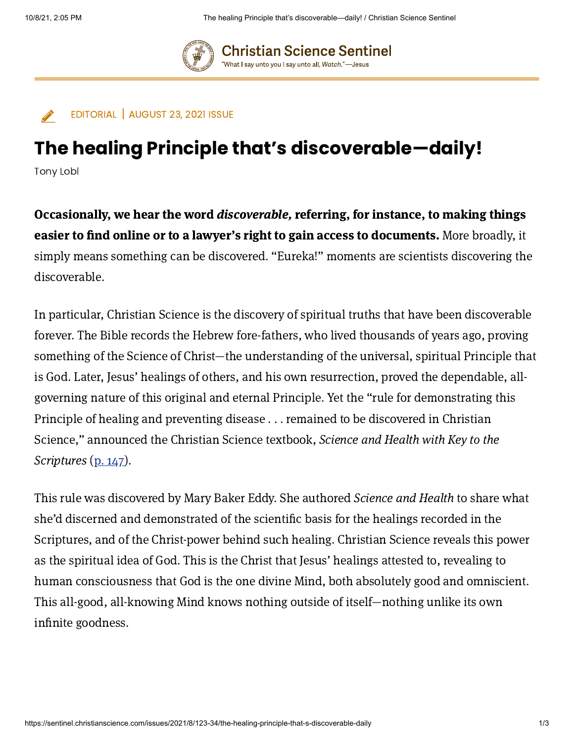

**Christian Science Sentinel** "What I say unto you I say unto all, Watch."—Jesus

EDITORIAL | AUGUST 23, 2021 ISSUE

## The healing Principle that's discoverable—daily!

Tony Lobl

Occasionally, we hear the word discoverable, referring, for instance, to making things easier to find online or to a lawyer's right to gain access to documents. More broadly, it simply means something can be discovered. "Eureka!" moments are scientists discovering the discoverable.

In particular, Christian Science is the discovery of spiritual truths that have been discoverable forever. The Bible records the Hebrew fore-fathers, who lived thousands of years ago, proving something of the Science of Christ—the understanding of the universal, spiritual Principle that is God. Later, Jesus' healings of others, and his own resurrection, proved the dependable, allgoverning nature of this original and eternal Principle. Yet the "rule for demonstrating this Principle of healing and preventing disease . . . remained to be discovered in Christian Science," announced the Christian Science textbook, Science and Health with Key to the Scriptures (p. [147\)](https://login.concord.christianscience.com/concord3/search/?query=SH%20147%3A24%E2%80%9328&book=tfccs.main.sh).

This rule was discovered by Mary Baker Eddy. She authored Science and Health to share what she'd discerned and demonstrated of the scientific basis for the healings recorded in the Scriptures, and of the Christ-power behind such healing. Christian Science reveals this power as the spiritual idea of God. This is the Christ that Jesus' healings attested to, revealing to human consciousness that God is the one divine Mind, both absolutely good and omniscient. This all-good, all-knowing Mind knows nothing outside of itself—nothing unlike its own infinite goodness.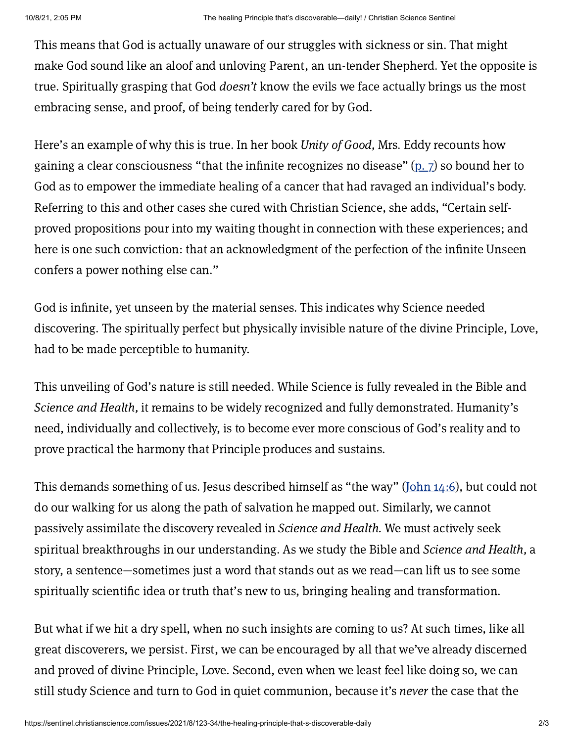This means that God is actually unaware of our struggles with sickness or sin. That might make God sound like an aloof and unloving Parent, an un-tender Shepherd. Yet the opposite is true. Spiritually grasping that God doesn't know the evils we face actually brings us the most embracing sense, and proof, of being tenderly cared for by God.

Here's an example of why this is true. In her book Unity of Good, Mrs. Eddy recounts how gaining a clear consciousness "that the infinite recognizes no disease"  $(p, 7)$  so bound her to God as to empower the immediate healing of a cancer that had ravaged an individual's body. Referring to this and other cases she cured with Christian Science, she adds, "Certain selfproved propositions pour into my waiting thought in connection with these experiences; and here is one such conviction: that an acknowledgment of the perfection of the infinite Unseen confers a power nothing else can."

God is infinite, yet unseen by the material senses. This indicates why Science needed discovering. The spiritually perfect but physically invisible nature of the divine Principle, Love, had to be made perceptible to humanity.

This unveiling of God's nature is still needed. While Science is fully revealed in the Bible and Science and Health, it remains to be widely recognized and fully demonstrated. Humanity's need, individually and collectively, is to become ever more conscious of God's reality and to prove practical the harmony that Principle produces and sustains.

This demands something of us. Jesus described himself as "the way" [\(John](https://login.concord.christianscience.com/concord3/search/?query=John%2014%3A6&book=tfccs.main.hb.kj) 14:6), but could not do our walking for us along the path of salvation he mapped out. Similarly, we cannot passively assimilate the discovery revealed in Science and Health. We must actively seek spiritual breakthroughs in our understanding. As we study the Bible and Science and Health, a story, a sentence—sometimes just a word that stands out as we read—can lift us to see some spiritually scientific idea or truth that's new to us, bringing healing and transformation.

But what if we hit a dry spell, when no such insights are coming to us? At such times, like all great discoverers, we persist. First, we can be encouraged by all that we've already discerned and proved of divine Principle, Love. Second, even when we least feel like doing so, we can still study Science and turn to God in quiet communion, because it's never the case that the